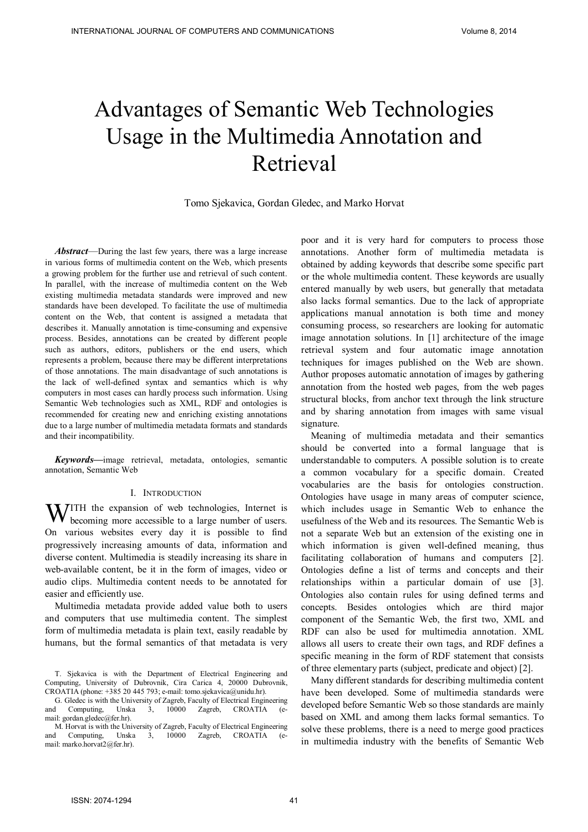# Advantages of Semantic Web Technologies Usage in the Multimedia Annotation and Retrieval

Tomo Sjekavica, Gordan Gledec, and Marko Horvat

*Abstract*—During the last few years, there was a large increase in various forms of multimedia content on the Web, which presents a growing problem for the further use and retrieval of such content. In parallel, with the increase of multimedia content on the Web existing multimedia metadata standards were improved and new standards have been developed. To facilitate the use of multimedia content on the Web, that content is assigned a metadata that describes it. Manually annotation is time-consuming and expensive process. Besides, annotations can be created by different people such as authors, editors, publishers or the end users, which represents a problem, because there may be different interpretations of those annotations. The main disadvantage of such annotations is the lack of well-defined syntax and semantics which is why computers in most cases can hardly process such information. Using Semantic Web technologies such as XML, RDF and ontologies is recommended for creating new and enriching existing annotations due to a large number of multimedia metadata formats and standards and their incompatibility.

*Keywords***—**image retrieval, metadata, ontologies, semantic annotation, Semantic Web

#### I. INTRODUCTION

WITH the expansion of web technologies, Internet is becoming more accessible to a large number of users. becoming more accessible to a large number of users. On various websites every day it is possible to find progressively increasing amounts of data, information and diverse content. Multimedia is steadily increasing its share in web-available content, be it in the form of images, video or audio clips. Multimedia content needs to be annotated for easier and efficiently use.

Multimedia metadata provide added value both to users and computers that use multimedia content. The simplest form of multimedia metadata is plain text, easily readable by humans, but the formal semantics of that metadata is very poor and it is very hard for computers to process those annotations. Another form of multimedia metadata is obtained by adding keywords that describe some specific part or the whole multimedia content. These keywords are usually entered manually by web users, but generally that metadata also lacks formal semantics. Due to the lack of appropriate applications manual annotation is both time and money consuming process, so researchers are looking for automatic image annotation solutions. In [1] architecture of the image retrieval system and four automatic image annotation techniques for images published on the Web are shown. Author proposes automatic annotation of images by gathering annotation from the hosted web pages, from the web pages structural blocks, from anchor text through the link structure and by sharing annotation from images with same visual signature.

Meaning of multimedia metadata and their semantics should be converted into a formal language that is understandable to computers. A possible solution is to create a common vocabulary for a specific domain. Created vocabularies are the basis for ontologies construction. Ontologies have usage in many areas of computer science, which includes usage in Semantic Web to enhance the usefulness of the Web and its resources. The Semantic Web is not a separate Web but an extension of the existing one in which information is given well-defined meaning, thus facilitating collaboration of humans and computers [2]. Ontologies define a list of terms and concepts and their relationships within a particular domain of use [3]. Ontologies also contain rules for using defined terms and concepts. Besides ontologies which are third major component of the Semantic Web, the first two, XML and RDF can also be used for multimedia annotation. XML allows all users to create their own tags, and RDF defines a specific meaning in the form of RDF statement that consists of three elementary parts (subject, predicate and object) [2].

Many different standards for describing multimedia content have been developed. Some of multimedia standards were developed before Semantic Web so those standards are mainly based on XML and among them lacks formal semantics. To solve these problems, there is a need to merge good practices in multimedia industry with the benefits of Semantic Web

T. Sjekavica is with the Department of Electrical Engineering and Computing, University of Dubrovnik, Cira Carica 4, 20000 Dubrovnik, CROATIA (phone: +385 20 445 793; e-mail: tomo.sjekavica@unidu.hr).

G. Gledec is with the University of Zagreb, Faculty of Electrical Engineering and Computing, Unska 3, 10000 Zagreb, CROATIA mail: gordan.gledec@fer.hr).

M. Horvat is with the University of Zagreb, Faculty of Electrical Engineering and Computing, Unska 3, 10000 Zagreb, CROATIA (email: marko.horvat2@fer.hr).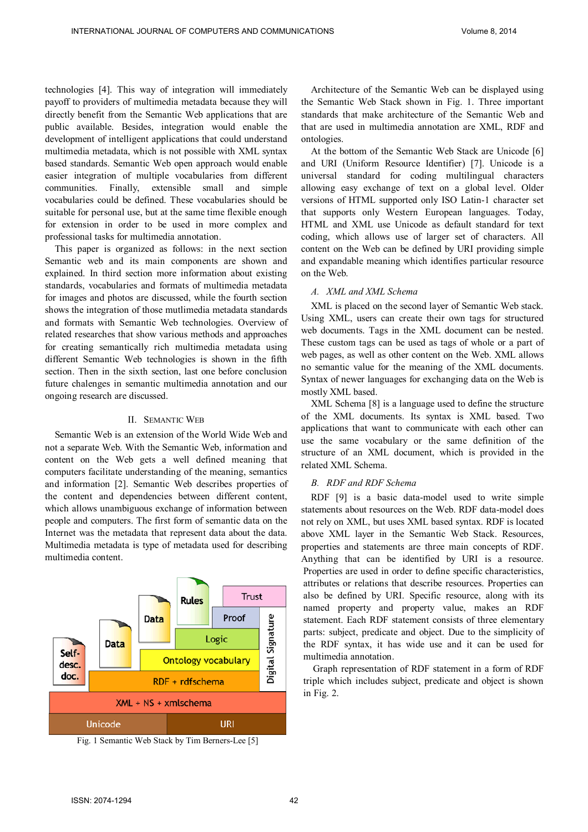INTERNATIONAL JOURNAL OF COMPUTERS AND COMMUNICATIONS Volume 8, 2014

technologies [4]. This way of integration will immediately payoff to providers of multimedia metadata because they will directly benefit from the Semantic Web applications that are public available. Besides, integration would enable the development of intelligent applications that could understand multimedia metadata, which is not possible with XML syntax based standards. Semantic Web open approach would enable easier integration of multiple vocabularies from different communities. Finally, extensible small and simple vocabularies could be defined. These vocabularies should be suitable for personal use, but at the same time flexible enough for extension in order to be used in more complex and professional tasks for multimedia annotation.

This paper is organized as follows: in the next section Semantic web and its main components are shown and explained. In third section more information about existing standards, vocabularies and formats of multimedia metadata for images and photos are discussed, while the fourth section shows the integration of those mutlimedia metadata standards and formats with Semantic Web technologies. Overview of related researches that show various methods and approaches for creating semantically rich multimedia metadata using different Semantic Web technologies is shown in the fifth section. Then in the sixth section, last one before conclusion future chalenges in semantic multimedia annotation and our ongoing research are discussed.

#### II. SEMANTIC WEB

Semantic Web is an extension of the World Wide Web and not a separate Web. With the Semantic Web, information and content on the Web gets a well defined meaning that computers facilitate understanding of the meaning, semantics and information [2]. Semantic Web describes properties of the content and dependencies between different content, which allows unambiguous exchange of information between people and computers. The first form of semantic data on the Internet was the metadata that represent data about the data. Multimedia metadata is type of metadata used for describing multimedia content.



Fig. 1 Semantic Web Stack by Tim Berners-Lee [5]

Architecture of the Semantic Web can be displayed using the Semantic Web Stack shown in Fig. 1. Three important standards that make architecture of the Semantic Web and that are used in multimedia annotation are XML, RDF and ontologies.

At the bottom of the Semantic Web Stack are Unicode [6] and URI (Uniform Resource Identifier) [7]. Unicode is a universal standard for coding multilingual characters allowing easy exchange of text on a global level. Older versions of HTML supported only ISO Latin-1 character set that supports only Western European languages. Today, HTML and XML use Unicode as default standard for text coding, which allows use of larger set of characters. All content on the Web can be defined by URI providing simple and expandable meaning which identifies particular resource on the Web.

#### *A. XML and XML Schema*

XML is placed on the second layer of Semantic Web stack. Using XML, users can create their own tags for structured web documents. Tags in the XML document can be nested. These custom tags can be used as tags of whole or a part of web pages, as well as other content on the Web. XML allows no semantic value for the meaning of the XML documents. Syntax of newer languages for exchanging data on the Web is mostly XML based.

XML Schema [8] is a language used to define the structure of the XML documents. Its syntax is XML based. Two applications that want to communicate with each other can use the same vocabulary or the same definition of the structure of an XML document, which is provided in the related XML Schema.

#### *B. RDF and RDF Schema*

RDF [9] is a basic data-model used to write simple statements about resources on the Web. RDF data-model does not rely on XML, but uses XML based syntax. RDF is located above XML layer in the Semantic Web Stack. Resources, properties and statements are three main concepts of RDF. Anything that can be identified by URI is a resource. Properties are used in order to define specific characteristics, attributes or relations that describe resources. Properties can also be defined by URI. Specific resource, along with its named property and property value, makes an RDF statement. Each RDF statement consists of three elementary parts: subject, predicate and object. Due to the simplicity of the RDF syntax, it has wide use and it can be used for multimedia annotation.

Graph representation of RDF statement in a form of RDF triple which includes subject, predicate and object is shown in Fig. 2.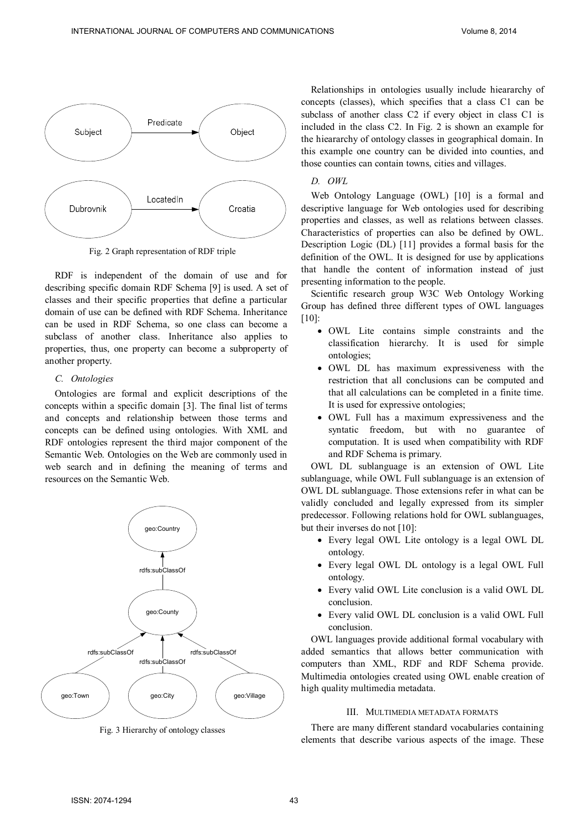

Fig. 2 Graph representation of RDF triple

RDF is independent of the domain of use and for describing specific domain RDF Schema [9] is used. A set of classes and their specific properties that define a particular domain of use can be defined with RDF Schema. Inheritance can be used in RDF Schema, so one class can become a subclass of another class. Inheritance also applies to properties, thus, one property can become a subproperty of another property.

## *C. Ontologies*

Ontologies are formal and explicit descriptions of the concepts within a specific domain [3]. The final list of terms and concepts and relationship between those terms and concepts can be defined using ontologies. With XML and RDF ontologies represent the third major component of the Semantic Web. Ontologies on the Web are commonly used in web search and in defining the meaning of terms and resources on the Semantic Web.



Fig. 3 Hierarchy of ontology classes

Relationships in ontologies usually include hieararchy of concepts (classes), which specifies that a class C1 can be subclass of another class C<sub>2</sub> if every object in class C<sub>1</sub> is included in the class C2. In Fig. 2 is shown an example for the hieararchy of ontology classes in geographical domain. In this example one country can be divided into counties, and those counties can contain towns, cities and villages.

*D. OWL*

Web Ontology Language (OWL) [10] is a formal and descriptive language for Web ontologies used for describing properties and classes, as well as relations between classes. Characteristics of properties can also be defined by OWL. Description Logic (DL) [11] provides a formal basis for the definition of the OWL. It is designed for use by applications that handle the content of information instead of just presenting information to the people.

Scientific research group W3C Web Ontology Working Group has defined three different types of OWL languages [10]:

- OWL Lite contains simple constraints and the classification hierarchy. It is used for simple ontologies;
- OWL DL has maximum expressiveness with the restriction that all conclusions can be computed and that all calculations can be completed in a finite time. It is used for expressive ontologies;
- OWL Full has a maximum expressiveness and the syntatic freedom, but with no guarantee of computation. It is used when compatibility with RDF and RDF Schema is primary.

OWL DL sublanguage is an extension of OWL Lite sublanguage, while OWL Full sublanguage is an extension of OWL DL sublanguage. Those extensions refer in what can be validly concluded and legally expressed from its simpler predecessor. Following relations hold for OWL sublanguages, but their inverses do not [10]:

- Every legal OWL Lite ontology is a legal OWL DL ontology.
- Every legal OWL DL ontology is a legal OWL Full ontology.
- Every valid OWL Lite conclusion is a valid OWL DL conclusion.
- Every valid OWL DL conclusion is a valid OWL Full conclusion.

OWL languages provide additional formal vocabulary with added semantics that allows better communication with computers than XML, RDF and RDF Schema provide. Multimedia ontologies created using OWL enable creation of high quality multimedia metadata.

### III. MULTIMEDIA METADATA FORMATS

There are many different standard vocabularies containing elements that describe various aspects of the image. These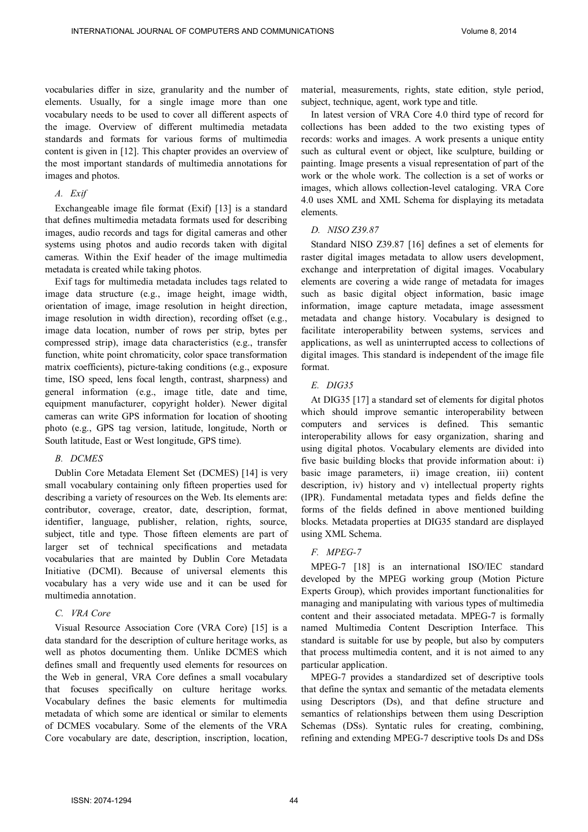vocabularies differ in size, granularity and the number of elements. Usually, for a single image more than one vocabulary needs to be used to cover all different aspects of the image. Overview of different multimedia metadata standards and formats for various forms of multimedia content is given in [12]. This chapter provides an overview of the most important standards of multimedia annotations for images and photos.

# *A. Exif*

Exchangeable image file format (Exif) [13] is a standard that defines multimedia metadata formats used for describing images, audio records and tags for digital cameras and other systems using photos and audio records taken with digital cameras. Within the Exif header of the image multimedia metadata is created while taking photos.

Exif tags for multimedia metadata includes tags related to image data structure (e.g., image height, image width, orientation of image, image resolution in height direction, image resolution in width direction), recording offset (e.g., image data location, number of rows per strip, bytes per compressed strip), image data characteristics (e.g., transfer function, white point chromaticity, color space transformation matrix coefficients), picture-taking conditions (e.g., exposure time, ISO speed, lens focal length, contrast, sharpness) and general information (e.g., image title, date and time, equipment manufacturer, copyright holder). Newer digital cameras can write GPS information for location of shooting photo (e.g., GPS tag version, latitude, longitude, North or South latitude, East or West longitude, GPS time).

## *B. DCMES*

Dublin Core Metadata Element Set (DCMES) [14] is very small vocabulary containing only fifteen properties used for describing a variety of resources on the Web. Its elements are: contributor, coverage, creator, date, description, format, identifier, language, publisher, relation, rights, source, subject, title and type. Those fifteen elements are part of larger set of technical specifications and metadata vocabularies that are mainted by Dublin Core Metadata Initiative (DCMI). Because of universal elements this vocabulary has a very wide use and it can be used for multimedia annotation.

### *C. VRA Core*

Visual Resource Association Core (VRA Core) [15] is a data standard for the description of culture heritage works, as well as photos documenting them. Unlike DCMES which defines small and frequently used elements for resources on the Web in general, VRA Core defines a small vocabulary that focuses specifically on culture heritage works. Vocabulary defines the basic elements for multimedia metadata of which some are identical or similar to elements of DCMES vocabulary. Some of the elements of the VRA Core vocabulary are date, description, inscription, location, material, measurements, rights, state edition, style period, subject, technique, agent, work type and title.

In latest version of VRA Core 4.0 third type of record for collections has been added to the two existing types of records: works and images. A work presents a unique entity such as cultural event or object, like sculpture, building or painting. Image presents a visual representation of part of the work or the whole work. The collection is a set of works or images, which allows collection-level cataloging. VRA Core 4.0 uses XML and XML Schema for displaying its metadata elements.

# *D. NISO Z39.87*

Standard NISO Z39.87 [16] defines a set of elements for raster digital images metadata to allow users development, exchange and interpretation of digital images. Vocabulary elements are covering a wide range of metadata for images such as basic digital object information, basic image information, image capture metadata, image assessment metadata and change history. Vocabulary is designed to facilitate interoperability between systems, services and applications, as well as uninterrupted access to collections of digital images. This standard is independent of the image file format.

# *E. DIG35*

At DIG35 [17] a standard set of elements for digital photos which should improve semantic interoperability between computers and services is defined. This semantic interoperability allows for easy organization, sharing and using digital photos. Vocabulary elements are divided into five basic building blocks that provide information about: i) basic image parameters, ii) image creation, iii) content description, iv) history and v) intellectual property rights (IPR). Fundamental metadata types and fields define the forms of the fields defined in above mentioned building blocks. Metadata properties at DIG35 standard are displayed using XML Schema.

# *F. MPEG-7*

MPEG-7 [18] is an international ISO/IEC standard developed by the MPEG working group (Motion Picture Experts Group), which provides important functionalities for managing and manipulating with various types of multimedia content and their associated metadata. MPEG-7 is formally named Multimedia Content Description Interface. This standard is suitable for use by people, but also by computers that process multimedia content, and it is not aimed to any particular application.

MPEG-7 provides a standardized set of descriptive tools that define the syntax and semantic of the metadata elements using Descriptors (Ds), and that define structure and semantics of relationships between them using Description Schemas (DSs). Syntatic rules for creating, combining, refining and extending MPEG-7 descriptive tools Ds and DSs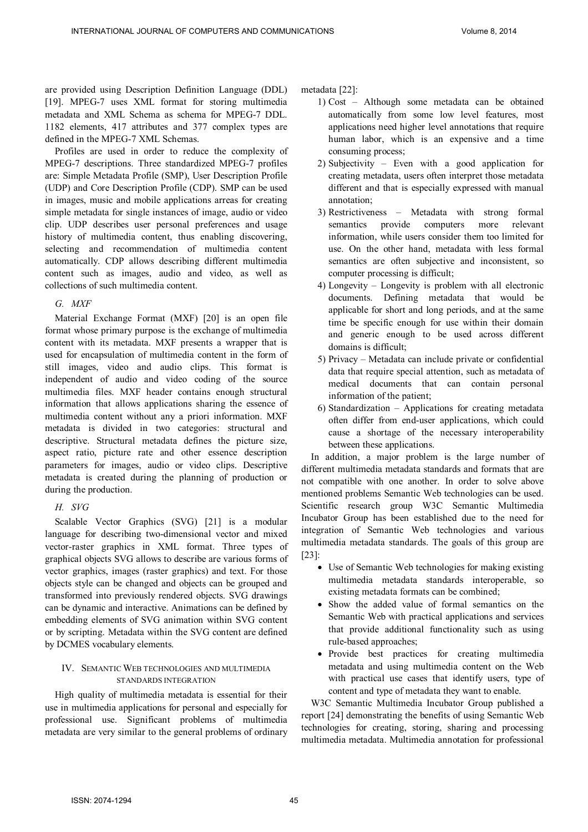are provided using Description Definition Language (DDL) [19]. MPEG-7 uses XML format for storing multimedia metadata and XML Schema as schema for MPEG-7 DDL. 1182 elements, 417 attributes and 377 complex types are defined in the MPEG-7 XML Schemas.

Profiles are used in order to reduce the complexity of MPEG-7 descriptions. Three standardized MPEG-7 profiles are: Simple Metadata Profile (SMP), User Description Profile (UDP) and Core Description Profile (CDP). SMP can be used in images, music and mobile applications arreas for creating simple metadata for single instances of image, audio or video clip. UDP describes user personal preferences and usage history of multimedia content, thus enabling discovering, selecting and recommendation of multimedia content automatically. CDP allows describing different multimedia content such as images, audio and video, as well as collections of such multimedia content.

# *G. MXF*

Material Exchange Format (MXF) [20] is an open file format whose primary purpose is the exchange of multimedia content with its metadata. MXF presents a wrapper that is used for encapsulation of multimedia content in the form of still images, video and audio clips. This format is independent of audio and video coding of the source multimedia files. MXF header contains enough structural information that allows applications sharing the essence of multimedia content without any a priori information. MXF metadata is divided in two categories: structural and descriptive. Structural metadata defines the picture size, aspect ratio, picture rate and other essence description parameters for images, audio or video clips. Descriptive metadata is created during the planning of production or during the production.

# *H. SVG*

Scalable Vector Graphics (SVG) [21] is a modular language for describing two-dimensional vector and mixed vector-raster graphics in XML format. Three types of graphical objects SVG allows to describe are various forms of vector graphics, images (raster graphics) and text. For those objects style can be changed and objects can be grouped and transformed into previously rendered objects. SVG drawings can be dynamic and interactive. Animations can be defined by embedding elements of SVG animation within SVG content or by scripting. Metadata within the SVG content are defined by DCMES vocabulary elements.

# IV. SEMANTIC WEB TECHNOLOGIES AND MULTIMEDIA STANDARDS INTEGRATION

High quality of multimedia metadata is essential for their use in multimedia applications for personal and especially for professional use. Significant problems of multimedia metadata are very similar to the general problems of ordinary metadata [22]:

- 1) Cost Although some metadata can be obtained automatically from some low level features, most applications need higher level annotations that require human labor, which is an expensive and a time consuming process;
- 2) Subjectivity Even with a good application for creating metadata, users often interpret those metadata different and that is especially expressed with manual annotation;
- 3) Restrictiveness Metadata with strong formal semantics provide computers more relevant information, while users consider them too limited for use. On the other hand, metadata with less formal semantics are often subjective and inconsistent, so computer processing is difficult;
- 4) Longevity Longevity is problem with all electronic documents. Defining metadata that would be applicable for short and long periods, and at the same time be specific enough for use within their domain and generic enough to be used across different domains is difficult;
- 5) Privacy Metadata can include private or confidential data that require special attention, such as metadata of medical documents that can contain personal information of the patient;
- 6) Standardization Applications for creating metadata often differ from end-user applications, which could cause a shortage of the necessary interoperability between these applications.

In addition, a major problem is the large number of different multimedia metadata standards and formats that are not compatible with one another. In order to solve above mentioned problems Semantic Web technologies can be used. Scientific research group W3C Semantic Multimedia Incubator Group has been established due to the need for integration of Semantic Web technologies and various multimedia metadata standards. The goals of this group are [23]:

- Use of Semantic Web technologies for making existing multimedia metadata standards interoperable, so existing metadata formats can be combined;
- Show the added value of formal semantics on the Semantic Web with practical applications and services that provide additional functionality such as using rule-based approaches;
- Provide best practices for creating multimedia metadata and using multimedia content on the Web with practical use cases that identify users, type of content and type of metadata they want to enable.

W3C Semantic Multimedia Incubator Group published a report [24] demonstrating the benefits of using Semantic Web technologies for creating, storing, sharing and processing multimedia metadata. Multimedia annotation for professional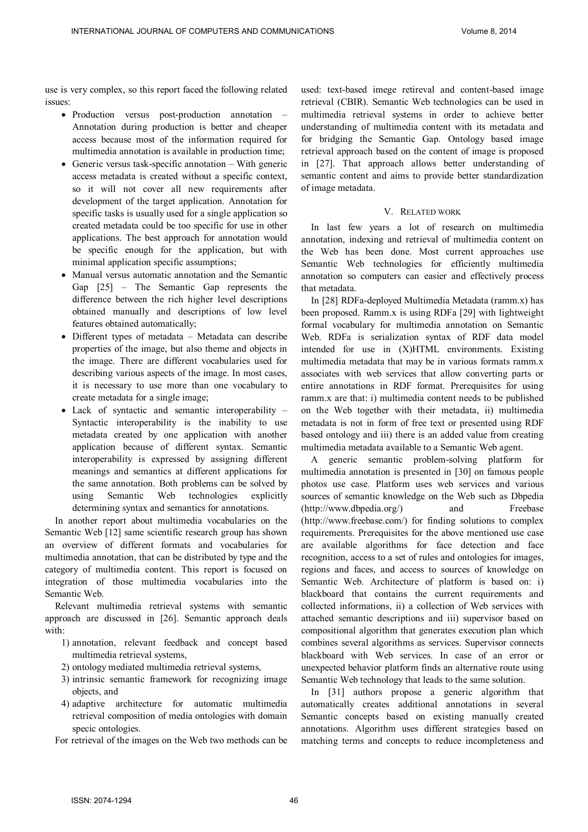use is very complex, so this report faced the following related issues:

- Production versus post-production annotation Annotation during production is better and cheaper access because most of the information required for multimedia annotation is available in production time;
- Generic versus task-specific annotation With generic access metadata is created without a specific context, so it will not cover all new requirements after development of the target application. Annotation for specific tasks is usually used for a single application so created metadata could be too specific for use in other applications. The best approach for annotation would be specific enough for the application, but with minimal application specific assumptions;
- Manual versus automatic annotation and the Semantic Gap [25] – The Semantic Gap represents the difference between the rich higher level descriptions obtained manually and descriptions of low level features obtained automatically;
- Different types of metadata Metadata can describe properties of the image, but also theme and objects in the image. There are different vocabularies used for describing various aspects of the image. In most cases, it is necessary to use more than one vocabulary to create metadata for a single image;
- Lack of syntactic and semantic interoperability Syntactic interoperability is the inability to use metadata created by one application with another application because of different syntax. Semantic interoperability is expressed by assigning different meanings and semantics at different applications for the same annotation. Both problems can be solved by using Semantic Web technologies explicitly determining syntax and semantics for annotations.

In another report about multimedia vocabularies on the Semantic Web [12] same scientific research group has shown an overview of different formats and vocabularies for multimedia annotation, that can be distributed by type and the category of multimedia content. This report is focused on integration of those multimedia vocabularies into the Semantic Web.

Relevant multimedia retrieval systems with semantic approach are discussed in [26]. Semantic approach deals with:

- 1) annotation, relevant feedback and concept based multimedia retrieval systems,
- 2) ontology mediated multimedia retrieval systems,
- 3) intrinsic semantic framework for recognizing image objects, and
- 4) adaptive architecture for automatic multimedia retrieval composition of media ontologies with domain specic ontologies.

For retrieval of the images on the Web two methods can be

used: text-based imege retireval and content-based image retrieval (CBIR). Semantic Web technologies can be used in multimedia retrieval systems in order to achieve better understanding of multimedia content with its metadata and for bridging the Semantic Gap. Ontology based image retrieval approach based on the content of image is proposed in [27]. That approach allows better understanding of semantic content and aims to provide better standardization of image metadata.

## V. RELATED WORK

In last few years a lot of research on multimedia annotation, indexing and retrieval of multimedia content on the Web has been done. Most current approaches use Semantic Web technologies for efficiently multimedia annotation so computers can easier and effectively process that metadata.

In [28] RDFa-deployed Multimedia Metadata (ramm.x) has been proposed. Ramm.x is using RDFa [29] with lightweight formal vocabulary for multimedia annotation on Semantic Web. RDFa is serialization syntax of RDF data model intended for use in (X)HTML environments. Existing multimedia metadata that may be in various formats ramm.x associates with web services that allow converting parts or entire annotations in RDF format. Prerequisites for using ramm.x are that: i) multimedia content needs to be published on the Web together with their metadata, ii) multimedia metadata is not in form of free text or presented using RDF based ontology and iii) there is an added value from creating multimedia metadata available to a Semantic Web agent.

A generic semantic problem-solving platform for multimedia annotation is presented in [30] on famous people photos use case. Platform uses web services and various sources of semantic knowledge on the Web such as Dbpedia (http://www.dbpedia.org/) and Freebase (http://www.freebase.com/) for finding solutions to complex requirements. Prerequisites for the above mentioned use case are available algorithms for face detection and face recognition, access to a set of rules and ontologies for images, regions and faces, and access to sources of knowledge on Semantic Web. Architecture of platform is based on: i) blackboard that contains the current requirements and collected informations, ii) a collection of Web services with attached semantic descriptions and iii) supervisor based on compositional algorithm that generates execution plan which combines several algorithms as services. Supervisor connects blackboard with Web services. In case of an error or unexpected behavior platform finds an alternative route using Semantic Web technology that leads to the same solution.

In [31] authors propose a generic algorithm that automatically creates additional annotations in several Semantic concepts based on existing manually created annotations. Algorithm uses different strategies based on matching terms and concepts to reduce incompleteness and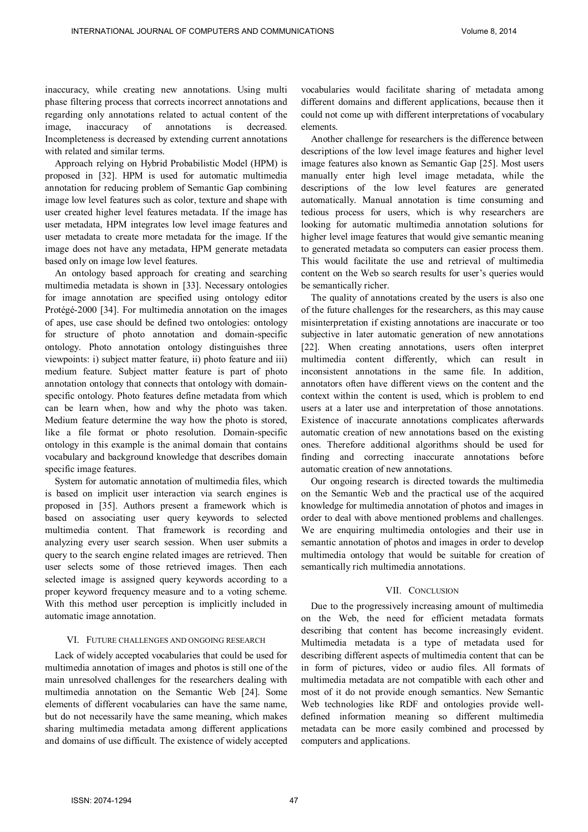INTERNATIONAL JOURNAL OF COMPUTERS AND COMMUNICATIONS Volume 8, 2014

inaccuracy, while creating new annotations. Using multi phase filtering process that corrects incorrect annotations and regarding only annotations related to actual content of the image, inaccuracy of annotations is decreased. Incompleteness is decreased by extending current annotations with related and similar terms.

Approach relying on Hybrid Probabilistic Model (HPM) is proposed in [32]. HPM is used for automatic multimedia annotation for reducing problem of Semantic Gap combining image low level features such as color, texture and shape with user created higher level features metadata. If the image has user metadata, HPM integrates low level image features and user metadata to create more metadata for the image. If the image does not have any metadata, HPM generate metadata based only on image low level features.

An ontology based approach for creating and searching multimedia metadata is shown in [33]. Necessary ontologies for image annotation are specified using ontology editor Protégé-2000 [34]. For multimedia annotation on the images of apes, use case should be defined two ontologies: ontology for structure of photo annotation and domain-specific ontology. Photo annotation ontology distinguishes three viewpoints: i) subject matter feature, ii) photo feature and iii) medium feature. Subject matter feature is part of photo annotation ontology that connects that ontology with domainspecific ontology. Photo features define metadata from which can be learn when, how and why the photo was taken. Medium feature determine the way how the photo is stored, like a file format or photo resolution. Domain-specific ontology in this example is the animal domain that contains vocabulary and background knowledge that describes domain specific image features.

System for automatic annotation of multimedia files, which is based on implicit user interaction via search engines is proposed in [35]. Authors present a framework which is based on associating user query keywords to selected multimedia content. That framework is recording and analyzing every user search session. When user submits a query to the search engine related images are retrieved. Then user selects some of those retrieved images. Then each selected image is assigned query keywords according to a proper keyword frequency measure and to a voting scheme. With this method user perception is implicitly included in automatic image annotation.

#### VI. FUTURE CHALLENGES AND ONGOING RESEARCH

Lack of widely accepted vocabularies that could be used for multimedia annotation of images and photos is still one of the main unresolved challenges for the researchers dealing with multimedia annotation on the Semantic Web [24]. Some elements of different vocabularies can have the same name, but do not necessarily have the same meaning, which makes sharing multimedia metadata among different applications and domains of use difficult. The existence of widely accepted

vocabularies would facilitate sharing of metadata among different domains and different applications, because then it could not come up with different interpretations of vocabulary elements.

Another challenge for researchers is the difference between descriptions of the low level image features and higher level image features also known as Semantic Gap [25]. Most users manually enter high level image metadata, while the descriptions of the low level features are generated automatically. Manual annotation is time consuming and tedious process for users, which is why researchers are looking for automatic multimedia annotation solutions for higher level image features that would give semantic meaning to generated metadata so computers can easier process them. This would facilitate the use and retrieval of multimedia content on the Web so search results for user's queries would be semantically richer.

The quality of annotations created by the users is also one of the future challenges for the researchers, as this may cause misinterpretation if existing annotations are inaccurate or too subjective in later automatic generation of new annotations [22]. When creating annotations, users often interpret multimedia content differently, which can result in inconsistent annotations in the same file. In addition, annotators often have different views on the content and the context within the content is used, which is problem to end users at a later use and interpretation of those annotations. Existence of inaccurate annotations complicates afterwards automatic creation of new annotations based on the existing ones. Therefore additional algorithms should be used for finding and correcting inaccurate annotations before automatic creation of new annotations.

Our ongoing research is directed towards the multimedia on the Semantic Web and the practical use of the acquired knowledge for multimedia annotation of photos and images in order to deal with above mentioned problems and challenges. We are enquiring multimedia ontologies and their use in semantic annotation of photos and images in order to develop multimedia ontology that would be suitable for creation of semantically rich multimedia annotations.

## VII. CONCLUSION

Due to the progressively increasing amount of multimedia on the Web, the need for efficient metadata formats describing that content has become increasingly evident. Multimedia metadata is a type of metadata used for describing different aspects of multimedia content that can be in form of pictures, video or audio files. All formats of multimedia metadata are not compatible with each other and most of it do not provide enough semantics. New Semantic Web technologies like RDF and ontologies provide welldefined information meaning so different multimedia metadata can be more easily combined and processed by computers and applications.